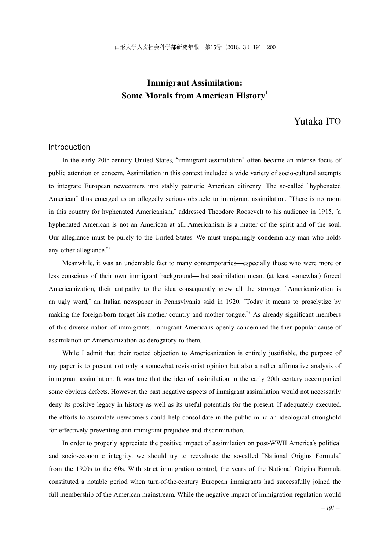# **Immigrant Assimilation: Some Morals from American History1**

# Yutaka ITO

### Introduction

In the early 20th-century United States, "immigrant assimilation" often became an intense focus of public attention or concern. Assimilation in this context included a wide variety of socio-cultural attempts to integrate European newcomers into stably patriotic American citizenry. The so-called "hyphenated American" thus emerged as an allegedly serious obstacle to immigrant assimilation. "There is no room in this country for hyphenated Americanism," addressed Theodore Roosevelt to his audience in 1915, "a hyphenated American is not an American at all...Americanism is a matter of the spirit and of the soul. Our allegiance must be purely to the United States. We must unsparingly condemn any man who holds any other allegiance."<sup>2</sup>

Meanwhile, it was an undeniable fact to many contemporaries—especially those who were more or less conscious of their own immigrant background—that assimilation meant (at least somewhat) forced Americanization; their antipathy to the idea consequently grew all the stronger. "Americanization is an ugly word," an Italian newspaper in Pennsylvania said in 1920. "Today it means to proselytize by making the foreign-born forget his mother country and mother tongue."<sup>3</sup> As already significant members of this diverse nation of immigrants, immigrant Americans openly condemned the then-popular cause of assimilation or Americanization as derogatory to them.

While I admit that their rooted objection to Americanization is entirely justifiable, the purpose of my paper is to present not only a somewhat revisionist opinion but also a rather affirmative analysis of immigrant assimilation. It was true that the idea of assimilation in the early 20th century accompanied some obvious defects. However, the past negative aspects of immigrant assimilation would not necessarily deny its positive legacy in history as well as its useful potentials for the present. If adequately executed, the efforts to assimilate newcomers could help consolidate in the public mind an ideological stronghold for effectively preventing anti-immigrant prejudice and discrimination.

In order to properly appreciate the positive impact of assimilation on post-WWII America's political and socio-economic integrity, we should try to reevaluate the so-called "National Origins Formula" from the 1920s to the 60s. With strict immigration control, the years of the National Origins Formula constituted a notable period when turn-of-the-century European immigrants had successfully joined the full membership of the American mainstream. While the negative impact of immigration regulation would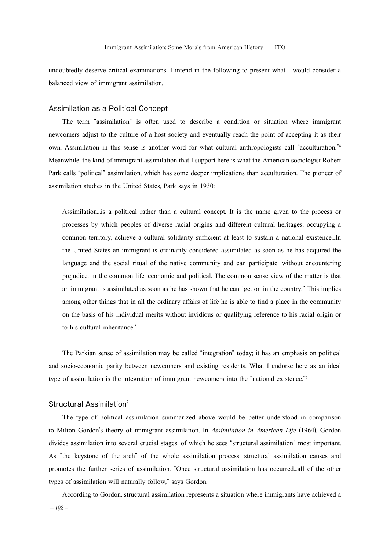undoubtedly deserve critical examinations, I intend in the following to present what I would consider a balanced view of immigrant assimilation.

#### Assimilation as a Political Concept

The term "assimilation" is often used to describe a condition or situation where immigrant newcomers adjust to the culture of a host society and eventually reach the point of accepting it as their own. Assimilation in this sense is another word for what cultural anthropologists call "acculturation."<sup>4</sup> Meanwhile, the kind of immigrant assimilation that I support here is what the American sociologist Robert Park calls "political" assimilation, which has some deeper implications than acculturation. The pioneer of assimilation studies in the United States, Park says in 1930:

Assimilation...is a political rather than a cultural concept. It is the name given to the process or processes by which peoples of diverse racial origins and different cultural heritages, occupying a common territory, achieve a cultural solidarity sufficient at least to sustain a national existence...In the United States an immigrant is ordinarily considered assimilated as soon as he has acquired the language and the social ritual of the native community and can participate, without encountering prejudice, in the common life, economic and political. The common sense view of the matter is that an immigrant is assimilated as soon as he has shown that he can "get on in the country." This implies among other things that in all the ordinary affairs of life he is able to find a place in the community on the basis of his individual merits without invidious or qualifying reference to his racial origin or to his cultural inheritance. 5

The Parkian sense of assimilation may be called "integration" today; it has an emphasis on political and socio-economic parity between newcomers and existing residents. What I endorse here as an ideal type of assimilation is the integration of immigrant newcomers into the "national existence."<sup>6</sup>

### Structural Assimilation<sup>7</sup>

The type of political assimilation summarized above would be better understood in comparison to Milton Gordon's theory of immigrant assimilation. In *Assimilation in American Life* (1964), Gordon divides assimilation into several crucial stages, of which he sees "structural assimilation" most important. As "the keystone of the arch" of the whole assimilation process, structural assimilation causes and promotes the further series of assimilation. "Once structural assimilation has occurred...all of the other types of assimilation will naturally follow," says Gordon.

According to Gordon, structural assimilation represents a situation where immigrants have achieved a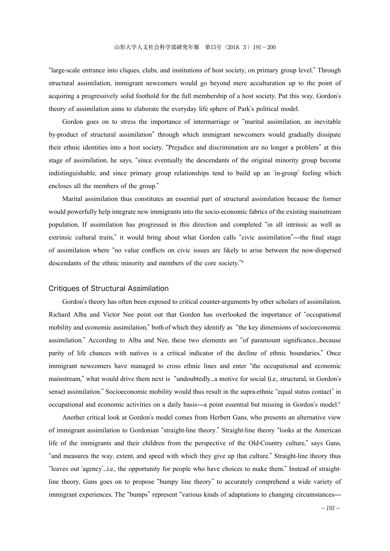"large-scale entrance into cliques, clubs, and institutions of host society, on primary group level." Through structural assimilation, immigrant newcomers would go beyond mere acculturation up to the point of acquiring a progressively solid foothold for the full membership of a host society. Put this way, Gordon's theory of assimilation aims to elaborate the everyday life sphere of Park's political model.

Gordon goes on to stress the importance of intermarriage or "marital assimilation, an inevitable by-product of structural assimilation" through which immigrant newcomers would gradually dissipate their ethnic identities into a host society. "Prejudice and discrimination are no longer a problem" at this stage of assimilation, he says, "since eventually the descendants of the original minority group become indistinguishable, and since primary group relationships tend to build up an 'in-group' feeling which encloses all the members of the group."

Marital assimilation thus constitutes an essential part of structural assimilation because the former would powerfully help integrate new immigrants into the socio-economic fabrics of the existing mainstream population. If assimilation has progressed in this direction and completed "in all intrinsic as well as extrinsic cultural traits," it would bring about what Gordon calls "civic assimilation"—the final stage of assimilation where "no value conflicts on civic issues are likely to arise between the now-dispersed descendants of the ethnic minority and members of the core society."<sup>8</sup>

#### Critiques of Structural Assimilation

Gordon's theory has often been exposed to critical counter-arguments by other scholars of assimilation. Richard Alba and Victor Nee point out that Gordon has overlooked the importance of "occupational mobility and economic assimilation," both of which they identify as "the key dimensions of socioeconomic assimilation." According to Alba and Nee, these two elements are "of paramount significance...because parity of life chances with natives is a critical indicator of the decline of ethnic boundaries." Once immigrant newcomers have managed to cross ethnic lines and enter "the occupational and economic mainstream," what would drive them next is "undoubtedly...a motive for social (i.e., structural, in Gordon's sense) assimilation." Socioeconomic mobility would thus result in the supra-ethnic "equal status contact" in occupational and economic activities on a daily basis—a point essential but missing in Gordon's model. 9

Another critical look at Gordon's model comes from Herbert Gans, who presents an alternative view of immigrant assimilation to Gordonian "straight-line theory." Straight-line theory "looks at the American life of the immigrants and their children from the perspective of the Old-Country culture," says Gans, "and measures the way, extent, and speed with which they give up that culture." Straight-line theory thus "leaves out 'agency'...i.e., the opportunity for people who have choices to make them." Instead of straightline theory, Gans goes on to propose "bumpy line theory" to accurately comprehend a wide variety of immigrant experiences. The "bumps" represent "various kinds of adaptations to changing circumstances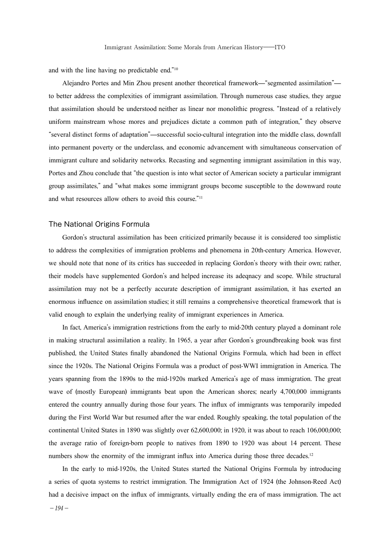and with the line having no predictable end."<sup>10</sup>

Alejandro Portes and Min Zhou present another theoretical framework—"segmented assimilation" to better address the complexities of immigrant assimilation. Through numerous case studies, they argue that assimilation should be understood neither as linear nor monolithic progress. "Instead of a relatively uniform mainstream whose mores and prejudices dictate a common path of integration," they observe "several distinct forms of adaptation"—successful socio-cultural integration into the middle class, downfall into permanent poverty or the underclass, and economic advancement with simultaneous conservation of immigrant culture and solidarity networks. Recasting and segmenting immigrant assimilation in this way, Portes and Zhou conclude that "the question is into what sector of American society a particular immigrant group assimilates," and "what makes some immigrant groups become susceptible to the downward route and what resources allow others to avoid this course."<sup>11</sup>

#### The National Origins Formula

Gordon's structural assimilation has been criticized primarily because it is considered too simplistic to address the complexities of immigration problems and phenomena in 20th-century America. However, we should note that none of its critics has succeeded in replacing Gordon's theory with their own; rather, their models have supplemented Gordon's and helped increase its adeqnacy and scope. While structural assimilation may not be a perfectly accurate description of immigrant assimilation, it has exerted an enormous influence on assimilation studies; it still remains a comprehensive theoretical framework that is valid enough to explain the underlying reality of immigrant experiences in America.

In fact, America's immigration restrictions from the early to mid-20th century played a dominant role in making structural assimilation a reality. In 1965, a year after Gordon's groundbreaking book was first published, the United States finally abandoned the National Origins Formula, which had been in effect since the 1920s. The National Origins Formula was a product of post-WWI immigration in America. The years spanning from the 1890s to the mid-1920s marked America's age of mass immigration. The great wave of (mostly European) immigrants beat upon the American shores; nearly 4,700,000 immigrants entered the country annually during those four years. The influx of immigrants was temporarily impeded during the First World War but resumed after the war ended. Roughly speaking, the total population of the continental United States in 1890 was slightly over 62,600,000; in 1920, it was about to reach 106,000,000; the average ratio of foreign-born people to natives from 1890 to 1920 was about 14 percent. These numbers show the enormity of the immigrant influx into America during those three decades.<sup>12</sup>

In the early to mid-1920s, the United States started the National Origins Formula by introducing a series of quota systems to restrict immigration. The Immigration Act of 1924 (the Johnson-Reed Act) had a decisive impact on the influx of immigrants, virtually ending the era of mass immigration. The act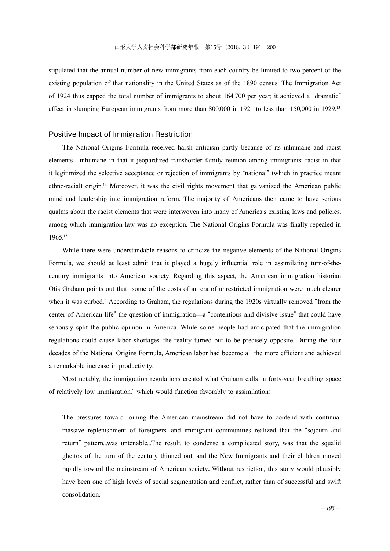stipulated that the annual number of new immigrants from each country be limited to two percent of the existing population of that nationality in the United States as of the 1890 census. The Immigration Act of 1924 thus capped the total number of immigrants to about 164,700 per year; it achieved a "dramatic" effect in slumping European immigrants from more than 800,000 in 1921 to less than 150,000 in 1929.<sup>13</sup>

#### Positive Impact of Immigration Restriction

The National Origins Formula received harsh criticism partly because of its inhumane and racist elements—inhumane in that it jeopardized transborder family reunion among immigrants; racist in that it legitimized the selective acceptance or rejection of immigrants by "national" (which in practice meant ethno-racial) origin. <sup>14</sup> Moreover, it was the civil rights movement that galvanized the American public mind and leadership into immigration reform. The majority of Americans then came to have serious qualms about the racist elements that were interwoven into many of America's existing laws and policies, among which immigration law was no exception. The National Origins Formula was finally repealed in 1965. 15

While there were understandable reasons to criticize the negative elements of the National Origins Formula, we should at least admit that it played a hugely influential role in assimilating turn-of-thecentury immigrants into American society. Regarding this aspect, the American immigration historian Otis Graham points out that "some of the costs of an era of unrestricted immigration were much clearer when it was curbed." According to Graham, the regulations during the 1920s virtually removed "from the center of American life" the question of immigration—a "contentious and divisive issue" that could have seriously split the public opinion in America. While some people had anticipated that the immigration regulations could cause labor shortages, the reality turned out to be precisely opposite. During the four decades of the National Origins Formula, American labor had become all the more efficient and achieved a remarkable increase in productivity.

Most notably, the immigration regulations created what Graham calls "a forty-year breathing space of relatively low immigration," which would function favorably to assimilation:

The pressures toward joining the American mainstream did not have to contend with continual massive replenishment of foreigners, and immigrant communities realized that the "sojourn and return" pattern...was untenable...The result, to condense a complicated story, was that the squalid ghettos of the turn of the century thinned out, and the New Immigrants and their children moved rapidly toward the mainstream of American society...Without restriction, this story would plausibly have been one of high levels of social segmentation and conflict, rather than of successful and swift consolidation.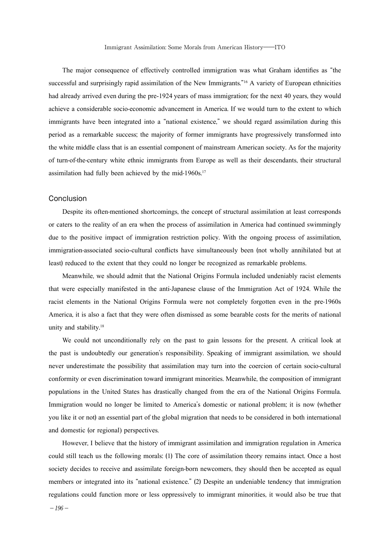The major consequence of effectively controlled immigration was what Graham identifies as "the successful and surprisingly rapid assimilation of the New Immigrants."<sup>16</sup> A variety of European ethnicities had already arrived even during the pre-1924 years of mass immigration; for the next 40 years, they would achieve a considerable socio-economic advancement in America. If we would turn to the extent to which immigrants have been integrated into a "national existence," we should regard assimilation during this period as a remarkable success; the majority of former immigrants have progressively transformed into the white middle class that is an essential component of mainstream American society. As for the majority of turn-of-the-century white ethnic immigrants from Europe as well as their descendants, their structural assimilation had fully been achieved by the mid-1960s. 17

#### Conclusion

Despite its often-mentioned shortcomings, the concept of structural assimilation at least corresponds or caters to the reality of an era when the process of assimilation in America had continued swimmingly due to the positive impact of immigration restriction policy. With the ongoing process of assimilation, immigration-associated socio-cultural conflicts have simultaneously been (not wholly annihilated but at least) reduced to the extent that they could no longer be recognized as remarkable problems.

Meanwhile, we should admit that the National Origins Formula included undeniably racist elements that were especially manifested in the anti-Japanese clause of the Immigration Act of 1924. While the racist elements in the National Origins Formula were not completely forgotten even in the pre-1960s America, it is also a fact that they were often dismissed as some bearable costs for the merits of national unity and stability. 18

We could not unconditionally rely on the past to gain lessons for the present. A critical look at the past is undoubtedly our generation's responsibility. Speaking of immigrant assimilation, we should never underestimate the possibility that assimilation may turn into the coercion of certain socio-cultural conformity or even discrimination toward immigrant minorities. Meanwhile, the composition of immigrant populations in the United States has drastically changed from the era of the National Origins Formula. Immigration would no longer be limited to America's domestic or national problem; it is now (whether you like it or not) an essential part of the global migration that needs to be considered in both international and domestic (or regional) perspectives.

However, I believe that the history of immigrant assimilation and immigration regulation in America could still teach us the following morals: (1) The core of assimilation theory remains intact. Once a host society decides to receive and assimilate foreign-born newcomers, they should then be accepted as equal members or integrated into its "national existence." (2) Despite an undeniable tendency that immigration regulations could function more or less oppressively to immigrant minorities, it would also be true that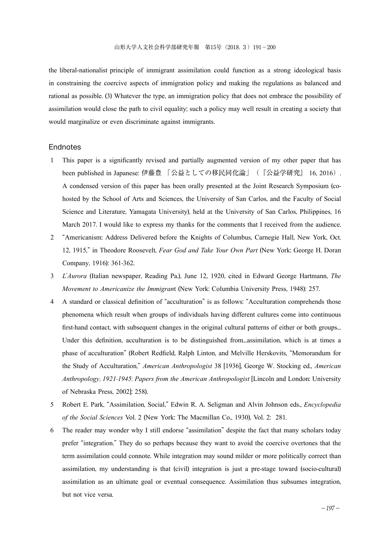the liberal-nationalist principle of immigrant assimilation could function as a strong ideological basis in constraining the coercive aspects of immigration policy and making the regulations as balanced and rational as possible. (3) Whatever the type, an immigration policy that does not embrace the possibility of assimilation would close the path to civil equality; such a policy may well result in creating a society that would marginalize or even discriminate against immigrants.

#### **Endnotes**

- 1 This paper is a significantly revised and partially augmented version of my other paper that has been published in Japanese: 伊藤豊 「公益としての移民同化論」 (『公益学研究』 16, 2016). A condensed version of this paper has been orally presented at the Joint Research Symposium (cohosted by the School of Arts and Sciences, the University of San Carlos, and the Faculty of Social Science and Literature, Yamagata University), held at the University of San Carlos, Philippines, 16 March 2017. I would like to express my thanks for the comments that I received from the audience.
- 2 "Americanism: Address Delivered before the Knights of Columbus, Carnegie Hall, New York, Oct. 12, 1915," in Theodore Roosevelt, *Fear God and Take Your Own Part* (New York: George H. Doran Company, 1916): 361-362.
- 3 *L*'*Aurora* (Italian newspaper, Reading Pa.), June 12, 1920, cited in Edward George Hartmann, *The Movement to Americanize the Immigran*t (New York: Columbia University Press, 1948): 257.
- 4 A standard or classical definition of "acculturation" is as follows: "Acculturation comprehends those phenomena which result when groups of individuals having different cultures come into continuous first-hand contact, with subsequent changes in the original cultural patterns of either or both groups... Under this definition, acculturation is to be distinguished from...assimilation, which is at times a phase of acculturation" (Robert Redfield, Ralph Linton, and Melville Herskovits, "Memorandum for the Study of Acculturation," *American Anthropologist* 38 [1936], George W. Stocking ed., *American Anthropology*, *1921*-*1945*: *Papers from the American Anthropologist* [Lincoln and London: University of Nebraska Press, 2002]: 258).
- 5 Robert E. Park, "Assimilation, Social," Edwin R. A. Seligman and Alvin Johnson eds., *Encyclopedia of the Social Sciences* Vol. 2 (New York: The Macmillan Co., 1930), Vol. 2: 281.
- 6 The reader may wonder why I still endorse "assimilation" despite the fact that many scholars today prefer "integration." They do so perhaps because they want to avoid the coercive overtones that the term assimilation could connote. While integration may sound milder or more politically correct than assimilation, my understanding is that (civil) integration is just a pre-stage toward (socio-cultural) assimilation as an ultimate goal or eventual consequence. Assimilation thus subsumes integration, but not vice versa.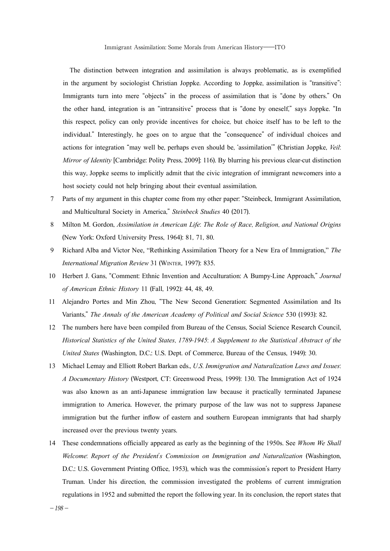The distinction between integration and assimilation is always problematic, as is exemplified in the argument by sociologist Christian Joppke. According to Joppke, assimilation is "transitive": Immigrants turn into mere "objects" in the process of assimilation that is "done by others." On the other hand, integration is an "intransitive" process that is "done by oneself," says Joppke. "In this respect, policy can only provide incentives for choice, but choice itself has to be left to the individual." Interestingly, he goes on to argue that the "consequence" of individual choices and actions for integration "may well be, perhaps even should be, 'assimilation'" (Christian Joppke, *Veil*: *Mirror of Identity* [Cambridge: Polity Press, 2009]: 116). By blurring his previous clear-cut distinction this way, Joppke seems to implicitly admit that the civic integration of immigrant newcomers into a host society could not help bringing about their eventual assimilation.

- 7 Parts of my argument in this chapter come from my other paper: "Steinbeck, Immigrant Assimilation, and Multicultural Society in America," *Steinbeck Studies* 40 (2017).
- 8 Milton M. Gordon, *Assimilation in American Life*: *The Role of Race*, *Religion*, *and National Origins* (New York: Oxford University Press, 1964): 81, 71, 80.
- 9 Richard Alba and Victor Nee, "Rethinking Assimilation Theory for a New Era of Immigration," *The International Migration Review* 31 (Winter, 1997): 835.
- 10 Herbert J. Gans, "Comment: Ethnic Invention and Acculturation: A Bumpy-Line Approach," *Journal of American Ethnic History* 11 (Fall, 1992): 44, 48, 49.
- 11 Alejandro Portes and Min Zhou, "The New Second Generation: Segmented Assimilation and Its Variants," *The Annals of the American Academy of Political and Social Science* 530 (1993): 82.
- 12 The numbers here have been compiled from Bureau of the Census, Social Science Research Council, *Historical Statistics of the United States*, *1789*-*1945*: *A Supplement to the Statistical Abstract of the United States* (Washington, D.C.: U.S. Dept. of Commerce, Bureau of the Census, 1949): 30.
- 13 Michael Lemay and Elliott Robert Barkan eds., *U*.*S*. *Immigration and Naturalization Laws and Issues*: *A Documentary History* (Westport, CT: Greenwood Press, 1999): 130. The Immigration Act of 1924 was also known as an anti-Japanese immigration law because it practically terminated Japanese immigration to America. However, the primary purpose of the law was not to suppress Japanese immigration but the further inflow of eastern and southern European immigrants that had sharply increased over the previous twenty years.
- 14 These condemnations officially appeared as early as the beginning of the 1950s. See *Whom We Shall Welcome*: *Report of the President*'*s Commission on Immigration and Naturalization* (Washington, D.C.: U.S. Government Printing Office, 1953), which was the commission's report to President Harry Truman. Under his direction, the commission investigated the problems of current immigration regulations in 1952 and submitted the report the following year. In its conclusion, the report states that

 $-198-$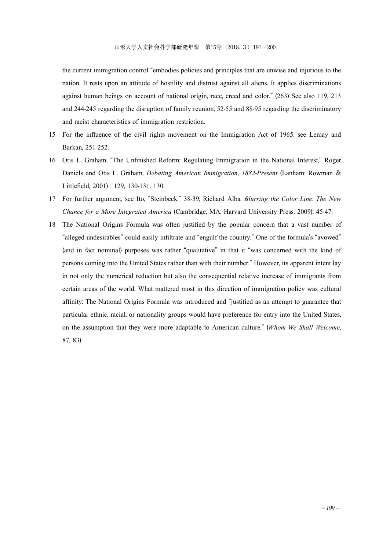the current immigration control "embodies policies and principles that are unwise and injurious to the nation. It rests upon an attitude of hostility and distrust against all aliens. It applies discriminations against human beings on account of national origin, race, creed and color." (263) See also 119, 213 and 244-245 regarding the disruption of family reunion; 52-55 and 88-95 regarding the discriminatory and racist characteristics of immigration restriction.

- 15 For the influence of the civil rights movement on the Immigration Act of 1965, see Lemay and Barkan, 251-252.
- 16 Otis L. Graham, "The Unfinished Reform: Regulating Immigration in the National Interest," Roger Daniels and Otis L. Graham, *Debating American Immigration*, *1882*-*Present* (Lanham: Rowman & Littlefield, 2001) : 129, 130-131, 130.
- 17 For further argument, see Ito, "Steinbeck," 38-39; Richard Alba, *Blurring the Color Line*: *The New Chance for a More Integrated America* (Cambridge, MA: Harvard University Press, 2009): 45-47.
- 18 The National Origins Formula was often justified by the popular concern that a vast number of "alleged undesirables" could easily infiltrate and "engulf the country." One of the formula's "avowed" (and in fact nominal) purposes was rather "qualitative" in that it "was concerned with the kind of persons coming into the United States rather than with their number." However, its apparent intent lay in not only the numerical reduction but also the consequential relative increase of immigrants from certain areas of the world. What mattered most in this direction of immigration policy was cultural affinity: The National Origins Formula was introduced and "justified as an attempt to guarantee that particular ethnic, racial, or nationality groups would have preference for entry into the United States, on the assumption that they were more adaptable to American culture." (*Whom We Shall Welcome*, 87, 83)